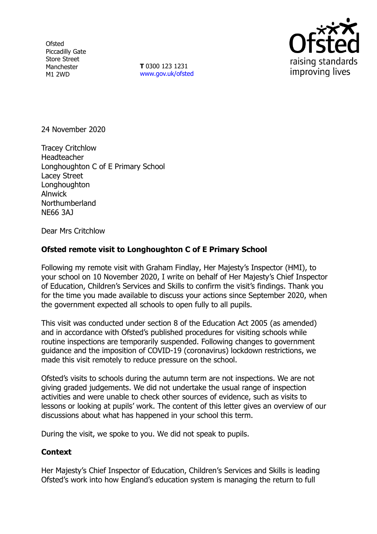**Ofsted** Piccadilly Gate Store Street Manchester M1 2WD

**T** 0300 123 1231 [www.gov.uk/ofsted](http://www.gov.uk/ofsted)



24 November 2020

Tracey Critchlow **Headteacher** Longhoughton C of E Primary School Lacey Street Longhoughton Alnwick Northumberland NE66 3AJ

Dear Mrs Critchlow

## **Ofsted remote visit to Longhoughton C of E Primary School**

Following my remote visit with Graham Findlay, Her Majesty's Inspector (HMI), to your school on 10 November 2020, I write on behalf of Her Majesty's Chief Inspector of Education, Children's Services and Skills to confirm the visit's findings. Thank you for the time you made available to discuss your actions since September 2020, when the government expected all schools to open fully to all pupils.

This visit was conducted under section 8 of the Education Act 2005 (as amended) and in accordance with Ofsted's published procedures for visiting schools while routine inspections are temporarily suspended. Following changes to government guidance and the imposition of COVID-19 (coronavirus) lockdown restrictions, we made this visit remotely to reduce pressure on the school.

Ofsted's visits to schools during the autumn term are not inspections. We are not giving graded judgements. We did not undertake the usual range of inspection activities and were unable to check other sources of evidence, such as visits to lessons or looking at pupils' work. The content of this letter gives an overview of our discussions about what has happened in your school this term.

During the visit, we spoke to you. We did not speak to pupils.

## **Context**

Her Majesty's Chief Inspector of Education, Children's Services and Skills is leading Ofsted's work into how England's education system is managing the return to full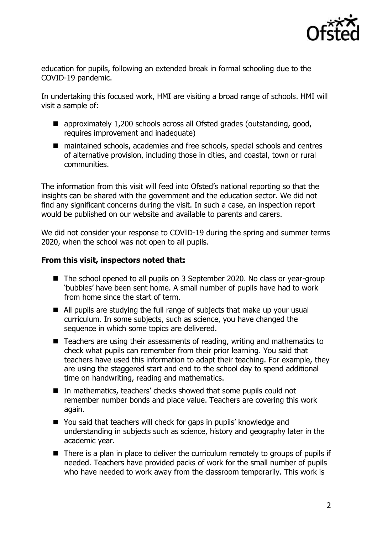

education for pupils, following an extended break in formal schooling due to the COVID-19 pandemic.

In undertaking this focused work, HMI are visiting a broad range of schools. HMI will visit a sample of:

- approximately 1,200 schools across all Ofsted grades (outstanding, good, requires improvement and inadequate)
- maintained schools, academies and free schools, special schools and centres of alternative provision, including those in cities, and coastal, town or rural communities.

The information from this visit will feed into Ofsted's national reporting so that the insights can be shared with the government and the education sector. We did not find any significant concerns during the visit. In such a case, an inspection report would be published on our website and available to parents and carers.

We did not consider your response to COVID-19 during the spring and summer terms 2020, when the school was not open to all pupils.

## **From this visit, inspectors noted that:**

- The school opened to all pupils on 3 September 2020. No class or year-group 'bubbles' have been sent home. A small number of pupils have had to work from home since the start of term.
- All pupils are studying the full range of subjects that make up your usual curriculum. In some subjects, such as science, you have changed the sequence in which some topics are delivered.
- Teachers are using their assessments of reading, writing and mathematics to check what pupils can remember from their prior learning. You said that teachers have used this information to adapt their teaching. For example, they are using the staggered start and end to the school day to spend additional time on handwriting, reading and mathematics.
- In mathematics, teachers' checks showed that some pupils could not remember number bonds and place value. Teachers are covering this work again.
- You said that teachers will check for gaps in pupils' knowledge and understanding in subjects such as science, history and geography later in the academic year.
- There is a plan in place to deliver the curriculum remotely to groups of pupils if needed. Teachers have provided packs of work for the small number of pupils who have needed to work away from the classroom temporarily. This work is